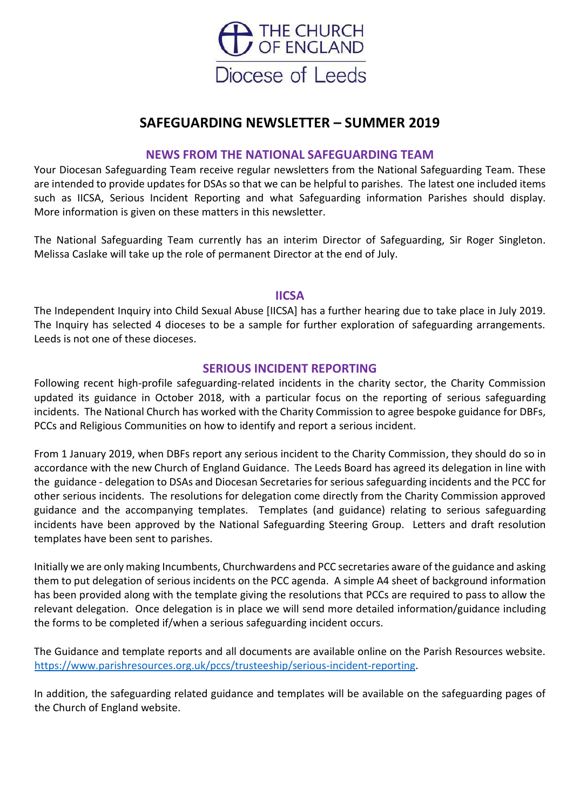

# **SAFEGUARDING NEWSLETTER – SUMMER 2019**

#### **NEWS FROM THE NATIONAL SAFEGUARDING TEAM**

Your Diocesan Safeguarding Team receive regular newsletters from the National Safeguarding Team. These are intended to provide updates for DSAs so that we can be helpful to parishes. The latest one included items such as IICSA, Serious Incident Reporting and what Safeguarding information Parishes should display. More information is given on these matters in this newsletter.

The National Safeguarding Team currently has an interim Director of Safeguarding, Sir Roger Singleton. Melissa Caslake will take up the role of permanent Director at the end of July.

#### **IICSA**

The Independent Inquiry into Child Sexual Abuse [IICSA] has a further hearing due to take place in July 2019. The Inquiry has selected 4 dioceses to be a sample for further exploration of safeguarding arrangements. Leeds is not one of these dioceses.

#### **SERIOUS INCIDENT REPORTING**

Following recent high-profile safeguarding-related incidents in the charity sector, the Charity Commission updated its guidance in October 2018, with a particular focus on the reporting of serious safeguarding incidents. The National Church has worked with the Charity Commission to agree bespoke guidance for DBFs, PCCs and Religious Communities on how to identify and report a serious incident.

From 1 January 2019, when DBFs report any serious incident to the Charity Commission, they should do so in accordance with the new Church of England Guidance. The Leeds Board has agreed its delegation in line with the guidance - delegation to DSAs and Diocesan Secretaries for serious safeguarding incidents and the PCC for other serious incidents. The resolutions for delegation come directly from the Charity Commission approved guidance and the accompanying templates. Templates (and guidance) relating to serious safeguarding incidents have been approved by the National Safeguarding Steering Group. Letters and draft resolution templates have been sent to parishes.

Initially we are only making Incumbents, Churchwardens and PCC secretaries aware of the guidance and asking them to put delegation of serious incidents on the PCC agenda. A simple A4 sheet of background information has been provided along with the template giving the resolutions that PCCs are required to pass to allow the relevant delegation. Once delegation is in place we will send more detailed information/guidance including the forms to be completed if/when a serious safeguarding incident occurs.

The Guidance and template reports and all documents are available online on the Parish Resources website. [https://www.parishresources.org.uk/pccs/trusteeship/serious-incident-reporting.](https://www.parishresources.org.uk/pccs/trusteeship/serious-incident-reporting)

In addition, the safeguarding related guidance and templates will be available on the safeguarding pages of the Church of England website.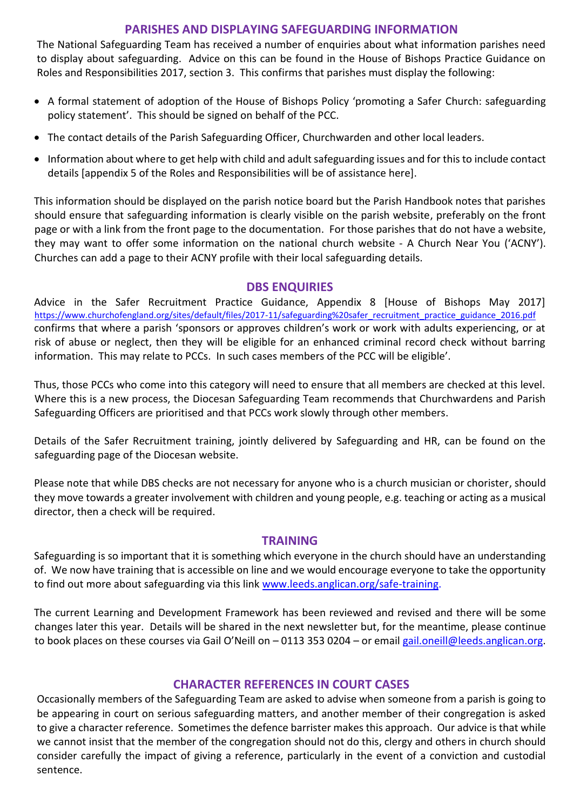## **PARISHES AND DISPLAYING SAFEGUARDING INFORMATION**

The National Safeguarding Team has received a number of enquiries about what information parishes need to display about safeguarding. Advice on this can be found in the House of Bishops Practice Guidance on Roles and Responsibilities 2017, section 3. This confirms that parishes must display the following:

- A formal statement of adoption of the House of Bishops Policy 'promoting a Safer Church: safeguarding policy statement'. This should be signed on behalf of the PCC.
- The contact details of the Parish Safeguarding Officer, Churchwarden and other local leaders.
- Information about where to get help with child and adult safeguarding issues and for this to include contact details [appendix 5 of the Roles and Responsibilities will be of assistance here].

This information should be displayed on the parish notice board but the Parish Handbook notes that parishes should ensure that safeguarding information is clearly visible on the parish website, preferably on the front page or with a link from the front page to the documentation. For those parishes that do not have a website, they may want to offer some information on the national church website - A Church Near You ('ACNY'). Churches can add a page to their ACNY profile with their local safeguarding details.

#### **DBS ENQUIRIES**

Advice in the Safer Recruitment Practice Guidance, Appendix 8 [House of Bishops May 2017] [https://www.churchofengland.org/sites/default/files/2017-11/safeguarding%20safer\\_recruitment\\_practice\\_guidance\\_2016.pdf](https://www.churchofengland.org/sites/default/files/2017-11/safeguarding%20safer_recruitment_practice_guidance_2016.pdf) confirms that where a parish 'sponsors or approves children's work or work with adults experiencing, or at risk of abuse or neglect, then they will be eligible for an enhanced criminal record check without barring information. This may relate to PCCs. In such cases members of the PCC will be eligible'.

Thus, those PCCs who come into this category will need to ensure that all members are checked at this level. Where this is a new process, the Diocesan Safeguarding Team recommends that Churchwardens and Parish Safeguarding Officers are prioritised and that PCCs work slowly through other members.

Details of the Safer Recruitment training, jointly delivered by Safeguarding and HR, can be found on the safeguarding page of the Diocesan website.

Please note that while DBS checks are not necessary for anyone who is a church musician or chorister, should they move towards a greater involvement with children and young people, e.g. teaching or acting as a musical director, then a check will be required.

#### **TRAINING**

Safeguarding is so important that it is something which everyone in the church should have an understanding of. We now have training that is accessible on line and we would encourage everyone to take the opportunity to find out more about safeguarding via this link [www.leeds.anglican.org/safe-training.](http://www.leeds.anglican.org/safe-training)

The current Learning and Development Framework has been reviewed and revised and there will be some changes later this year. Details will be shared in the next newsletter but, for the meantime, please continue to book places on these courses via Gail O'Neill on – 0113 353 0204 – or email gail.oneill@leeds.anglican.org.

## **CHARACTER REFERENCES IN COURT CASES**

Occasionally members of the Safeguarding Team are asked to advise when someone from a parish is going to be appearing in court on serious safeguarding matters, and another member of their congregation is asked to give a character reference. Sometimes the defence barrister makes this approach. Our advice is that while we cannot insist that the member of the congregation should not do this, clergy and others in church should consider carefully the impact of giving a reference, particularly in the event of a conviction and custodial sentence.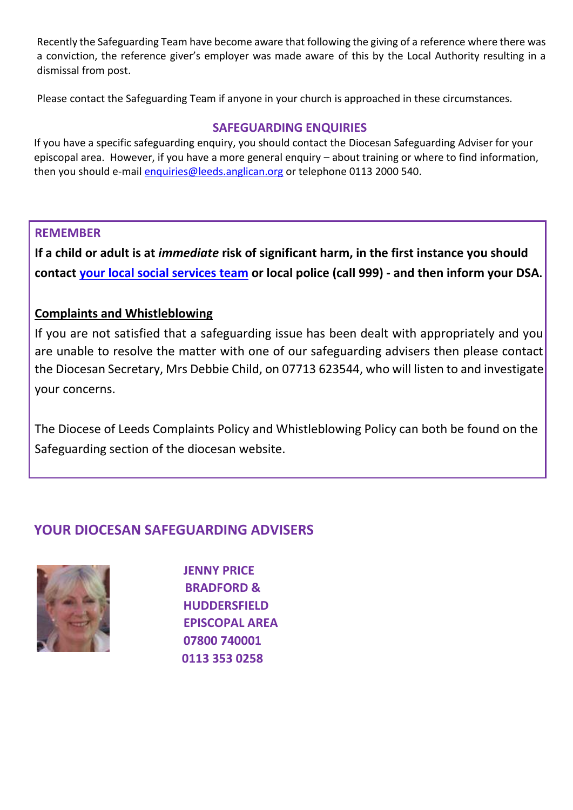Recently the Safeguarding Team have become aware that following the giving of a reference where there was a conviction, the reference giver's employer was made aware of this by the Local Authority resulting in a dismissal from post.

Please contact the Safeguarding Team if anyone in your church is approached in these circumstances.

## **SAFEGUARDING ENQUIRIES**

If you have a specific safeguarding enquiry, you should contact the Diocesan Safeguarding Adviser for your episcopal area. However, if you have a more general enquiry – about training or where to find information, then you should e-mail enquiries@leeds.anglican.org or telephone 0113 2000 540.

## **REMEMBER**

**If a child or adult is at** *immediate* **risk of significant harm, in the first instance you should contac[t](http://www.westyorkshiredales.anglican.org/sites/default/files/files/localauthoritycontacts2jan2015.pdf) [your local social services team](http://www.westyorkshiredales.anglican.org/sites/default/files/files/localauthoritycontacts2jan2015.pdf) [o](http://www.westyorkshiredales.anglican.org/sites/default/files/files/localauthoritycontacts2jan2015.pdf)r local police (call 999) - and then inform your DSA.** 

## **Complaints and Whistleblowing**

If you are not satisfied that a safeguarding issue has been dealt with appropriately and you are unable to resolve the matter with one of our safeguarding advisers then please contact the Diocesan Secretary, Mrs Debbie Child, on 07713 623544, who will listen to and investigate your concerns.

The Diocese of Leeds Complaints Policy and Whistleblowing Policy can both be found on the Safeguarding section of the diocesan website.

# **YOUR DIOCESAN SAFEGUARDING ADVISERS**



**JENNY PRICE BRADFORD & HUDDERSFIELD EPISCOPAL AREA 07800 740001 0113 353 0258**